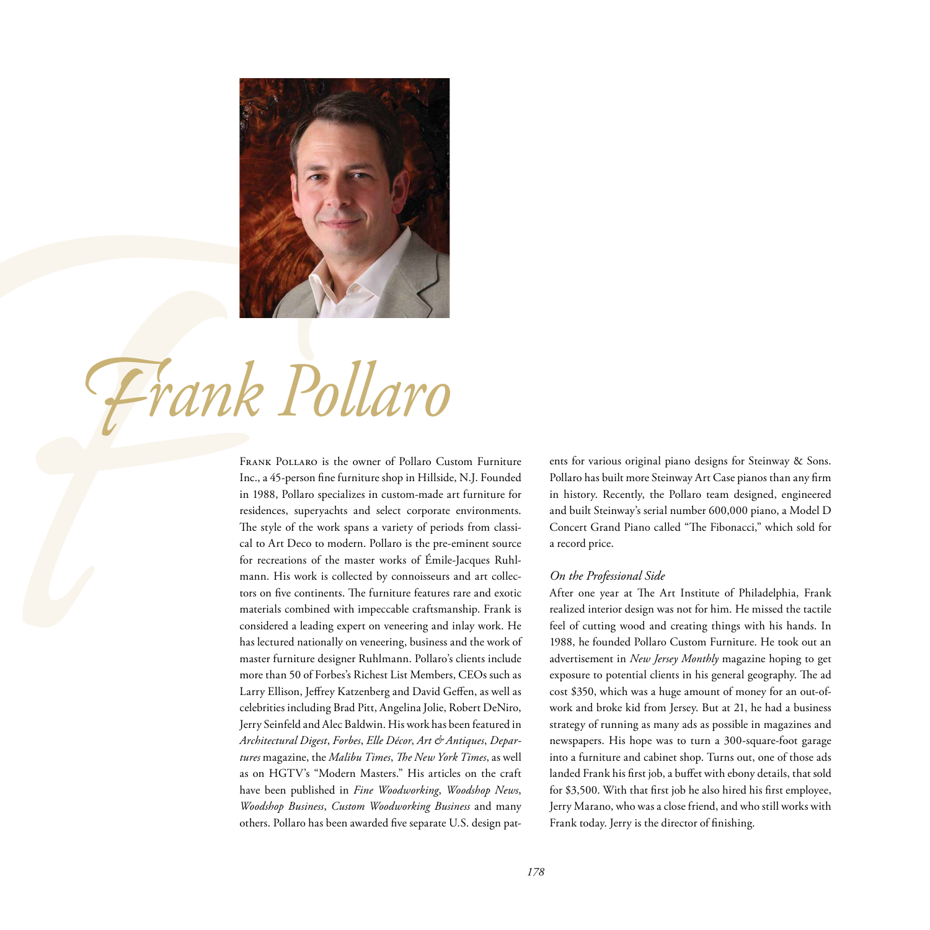

Frank Pollaro

Frank Pollaro is the owner of Pollaro Custom Function  $\mathbb{R}^n$  and  $\mathbb{R}^n$  and  $\mathbb{R}^n$  and  $\mathbb{R}^n$  and  $\mathbb{R}^n$  and  $\mathbb{R}^n$  and  $\mathbb{R}^n$  and  $\mathbb{R}^n$  and  $\mathbb{R}^n$  and  $\mathbb{R}^n$  and  $\mathbb{R}^n$  and  $\$ Inc., a 45-person fine furniture shop in Hillside, N.J. Founded in 1988, Pollaro specializes in custom-made art furniture for residences, superyachts and select corporate environments. The style of the work spans a variety of periods from classical to Art Deco to modern. Pollaro is the pre-eminent source for recreations of the master works of Émile-Jacques Ruhlmann. His work is collected by connoisseurs and art collectors on five continents. The furniture features rare and exotic materials combined with impeccable craftsmanship. Frank is considered a leading expert on veneering and inlay work. He has lectured nationally on veneering, business and the work of master furniture designer Ruhlmann. Pollaro's clients include more than 50 of Forbes's Richest List Members, CEOs such as Larry Ellison, Jeffrey Katzenberg and David Geffen, as well as celebrities including Brad Pitt, Angelina Jolie, Robert DeNiro, Jerry Seinfeld and Alec Baldwin. His work has been featured in *Architectural Digest*, *Forbes*, *Elle Décor*, *Art & Antiques*, *Departures* magazine, the *Malibu Times*, *The New York Times*, as well as on HGTV's "Modern Masters." His articles on the craft have been published in *Fine Woodworking*, *Woodshop News*, *Woodshop Business*, *Custom Woodworking Business* and many others. Pollaro has been awarded five separate U.S. design pat-

ents for various original piano designs for Steinway & Sons. Pollaro has built more Steinway Art Case pianos than any firm in history. Recently, the Pollaro team designed, engineered and built Steinway's serial number 600,000 piano, a Model D Concert Grand Piano called "The Fibonacci," which sold for a record price.

#### *On the Professional Side*

After one year at The Art Institute of Philadelphia, Frank realized interior design was not for him. He missed the tactile feel of cutting wood and creating things with his hands. In 1988, he founded Pollaro Custom Furniture. He took out an advertisement in *New Jersey Monthly* magazine hoping to get exposure to potential clients in his general geography. The ad cost \$350, which was a huge amount of money for an out-ofwork and broke kid from Jersey. But at 21, he had a business strategy of running as many ads as possible in magazines and newspapers. His hope was to turn a 300-square-foot garage into a furniture and cabinet shop. Turns out, one of those ads landed Frank his first job, a buffet with ebony details, that sold for \$3,500. With that first job he also hired his first employee, Jerry Marano, who was a close friend, and who still works with Frank today. Jerry is the director of finishing.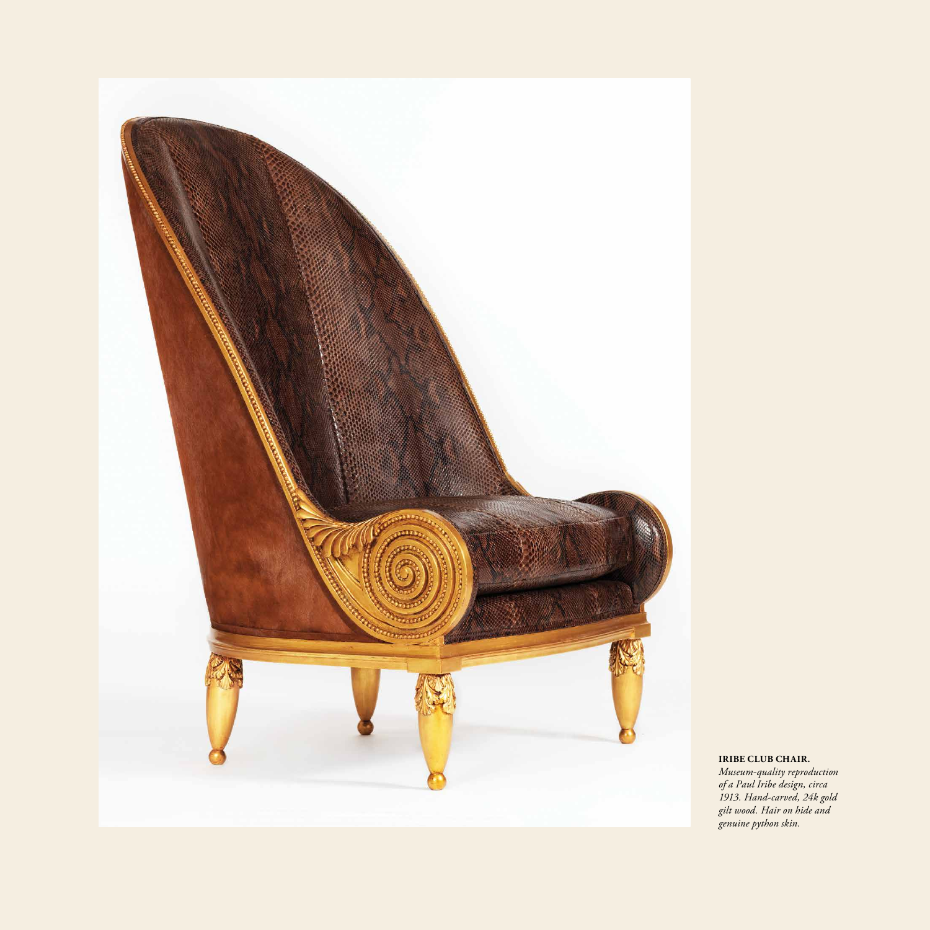

**IRIBE CLUB CHAIR.**

*Museum-quality reproduction of a Paul Iribe design, circa 1913. Hand-carved, 24k gold gilt wood. Hair on hide and genuine python skin.*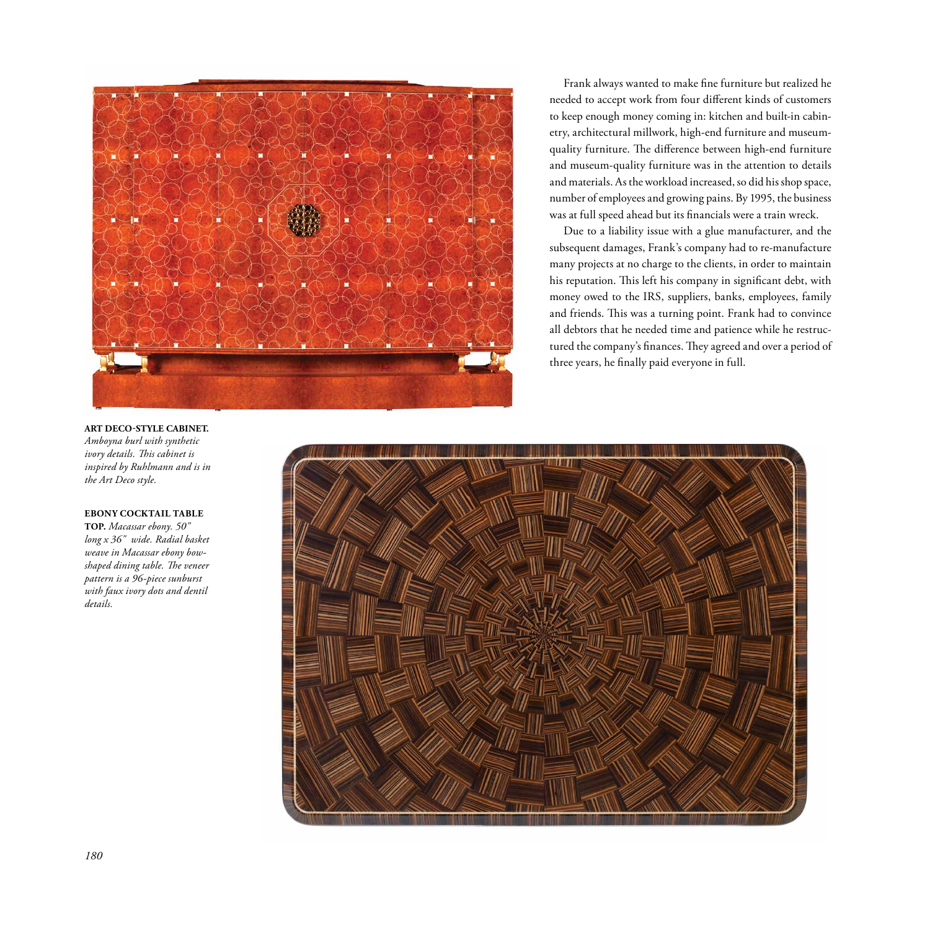

Frank always wanted to make fine furniture but realized he needed to accept work from four different kinds of customers to keep enough money coming in: kitchen and built-in cabinetry, architectural millwork, high-end furniture and museumquality furniture. The difference between high-end furniture and museum-quality furniture was in the attention to details and materials. As the workload increased, so did his shop space, number of employees and growing pains. By 1995, the business was at full speed ahead but its financials were a train wreck.

Due to a liability issue with a glue manufacturer, and the subsequent damages, Frank's company had to re-manufacture many projects at no charge to the clients, in order to maintain his reputation. This left his company in significant debt, with money owed to the IRS, suppliers, banks, employees, family and friends. This was a turning point. Frank had to convince all debtors that he needed time and patience while he restructured the company's finances. They agreed and over a period of three years, he finally paid everyone in full.

#### **ART DECO-STYLE CABINET.**

*Amboyna burl with synthetic ivory details. This cabinet is inspired by Ruhlmann and is in the Art Deco style.*

#### **EBONY COCKTAIL TABLE**

**TOP.** *Macassar ebony. 50" long x 36" wide. Radial basket weave in Macassar ebony bowshaped dining table. The veneer pattern is a 96-piece sunburst with faux ivory dots and dentil details.*

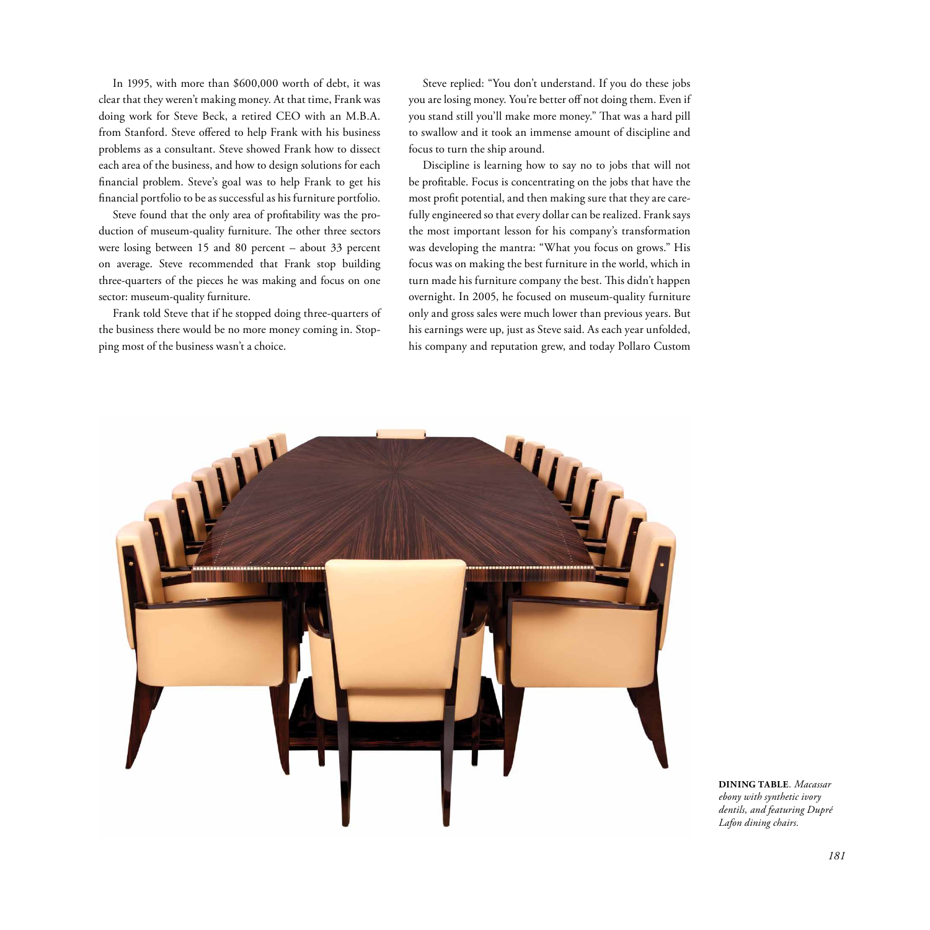In 1995, with more than \$600,000 worth of debt, it was clear that they weren't making money. At that time, Frank was doing work for Steve Beck, a retired CEO with an M.B.A. from Stanford. Steve offered to help Frank with his business problems as a consultant. Steve showed Frank how to dissect each area of the business, and how to design solutions for each financial problem. Steve's goal was to help Frank to get his financial portfolio to be as successful as his furniture portfolio.

Steve found that the only area of profitability was the production of museum-quality furniture. The other three sectors were losing between 15 and 80 percent – about 33 percent on average. Steve recommended that Frank stop building three-quarters of the pieces he was making and focus on one sector: museum-quality furniture.

Frank told Steve that if he stopped doing three-quarters of the business there would be no more money coming in. Stopping most of the business wasn't a choice.

Steve replied: "You don't understand. If you do these jobs you are losing money. You're better off not doing them. Even if you stand still you'll make more money." That was a hard pill to swallow and it took an immense amount of discipline and focus to turn the ship around.

Discipline is learning how to say no to jobs that will not be profitable. Focus is concentrating on the jobs that have the most profit potential, and then making sure that they are carefully engineered so that every dollar can be realized. Frank says the most important lesson for his company's transformation was developing the mantra: "What you focus on grows." His focus was on making the best furniture in the world, which in turn made his furniture company the best. This didn't happen overnight. In 2005, he focused on museum-quality furniture only and gross sales were much lower than previous years. But his earnings were up, just as Steve said. As each year unfolded, his company and reputation grew, and today Pollaro Custom



**DINING TABLE***. Macassar ebony with synthetic ivory dentils, and featuring Dupré Lafon dining chairs.*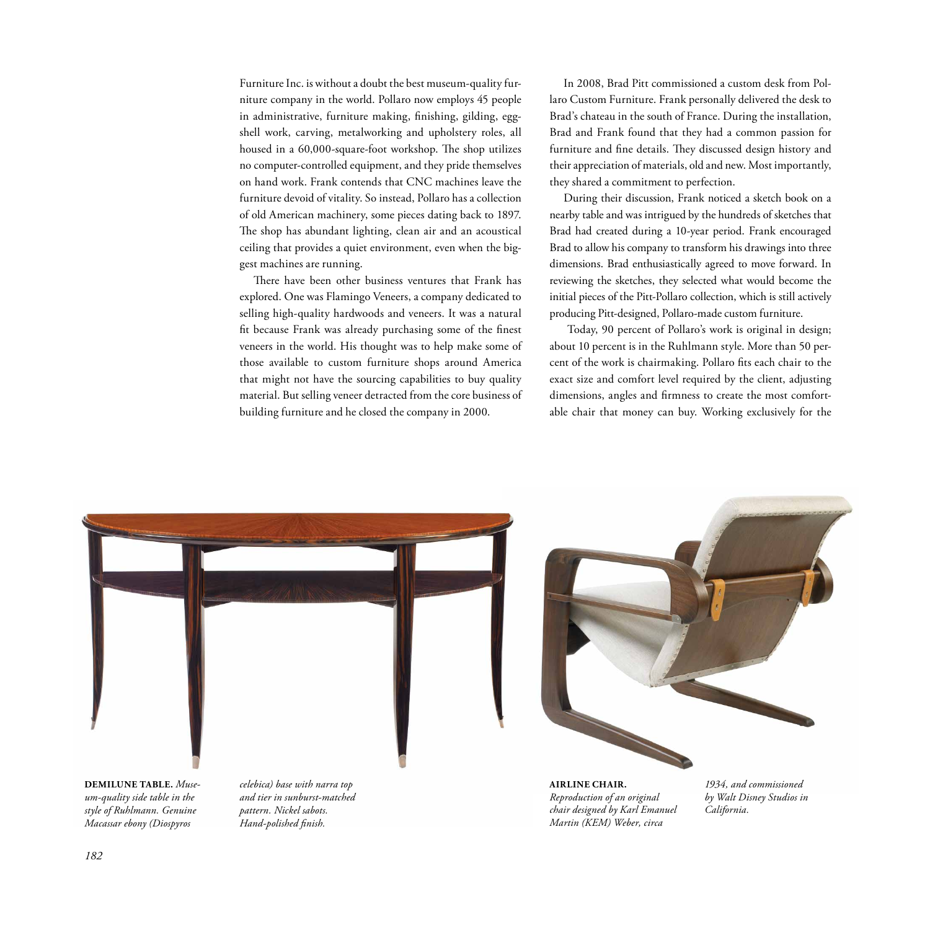Furniture Inc. is without a doubt the best museum-quality furniture company in the world. Pollaro now employs 45 people in administrative, furniture making, finishing, gilding, eggshell work, carving, metalworking and upholstery roles, all housed in a 60,000-square-foot workshop. The shop utilizes no computer-controlled equipment, and they pride themselves on hand work. Frank contends that CNC machines leave the furniture devoid of vitality. So instead, Pollaro has a collection of old American machinery, some pieces dating back to 1897. The shop has abundant lighting, clean air and an acoustical ceiling that provides a quiet environment, even when the biggest machines are running.

There have been other business ventures that Frank has explored. One was Flamingo Veneers, a company dedicated to selling high-quality hardwoods and veneers. It was a natural fit because Frank was already purchasing some of the finest veneers in the world. His thought was to help make some of those available to custom furniture shops around America that might not have the sourcing capabilities to buy quality material. But selling veneer detracted from the core business of building furniture and he closed the company in 2000.

In 2008, Brad Pitt commissioned a custom desk from Pollaro Custom Furniture. Frank personally delivered the desk to Brad's chateau in the south of France. During the installation, Brad and Frank found that they had a common passion for furniture and fine details. They discussed design history and their appreciation of materials, old and new. Most importantly, they shared a commitment to perfection.

During their discussion, Frank noticed a sketch book on a nearby table and was intrigued by the hundreds of sketches that Brad had created during a 10-year period. Frank encouraged Brad to allow his company to transform his drawings into three dimensions. Brad enthusiastically agreed to move forward. In reviewing the sketches, they selected what would become the initial pieces of the Pitt-Pollaro collection, which is still actively producing Pitt-designed, Pollaro-made custom furniture.

 Today, 90 percent of Pollaro's work is original in design; about 10 percent is in the Ruhlmann style. More than 50 percent of the work is chairmaking. Pollaro fits each chair to the exact size and comfort level required by the client, adjusting dimensions, angles and firmness to create the most comfortable chair that money can buy. Working exclusively for the



*1934, and commissioned by Walt Disney Studios in California.*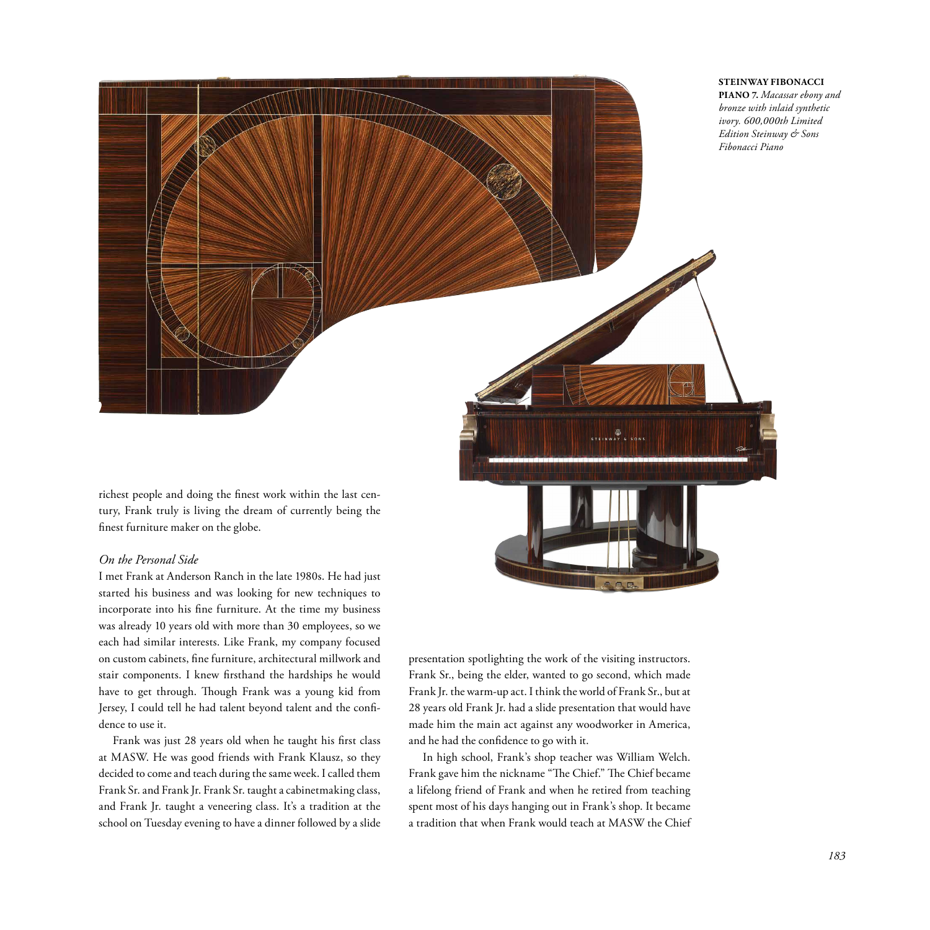

richest people and doing the finest work within the last century, Frank truly is living the dream of currently being the finest furniture maker on the globe.

# *On the Personal Side*

I met Frank at Anderson Ranch in the late 1980s. He had just started his business and was looking for new techniques to incorporate into his fine furniture. At the time my business was already 10 years old with more than 30 employees, so we each had similar interests. Like Frank, my company focused on custom cabinets, fine furniture, architectural millwork and stair components. I knew firsthand the hardships he would have to get through. Though Frank was a young kid from Jersey, I could tell he had talent beyond talent and the confidence to use it.

Frank was just 28 years old when he taught his first class at MASW. He was good friends with Frank Klausz, so they decided to come and teach during the same week. I called them Frank Sr. and Frank Jr. Frank Sr. taught a cabinetmaking class, and Frank Jr. taught a veneering class. It's a tradition at the school on Tuesday evening to have a dinner followed by a slide presentation spotlighting the work of the visiting instructors. Frank Sr., being the elder, wanted to go second, which made Frank Jr. the warm-up act. I think the world of Frank Sr., but at 28 years old Frank Jr. had a slide presentation that would have made him the main act against any woodworker in America, and he had the confidence to go with it.

In high school, Frank's shop teacher was William Welch. Frank gave him the nickname "The Chief." The Chief became a lifelong friend of Frank and when he retired from teaching spent most of his days hanging out in Frank's shop. It became a tradition that when Frank would teach at MASW the Chief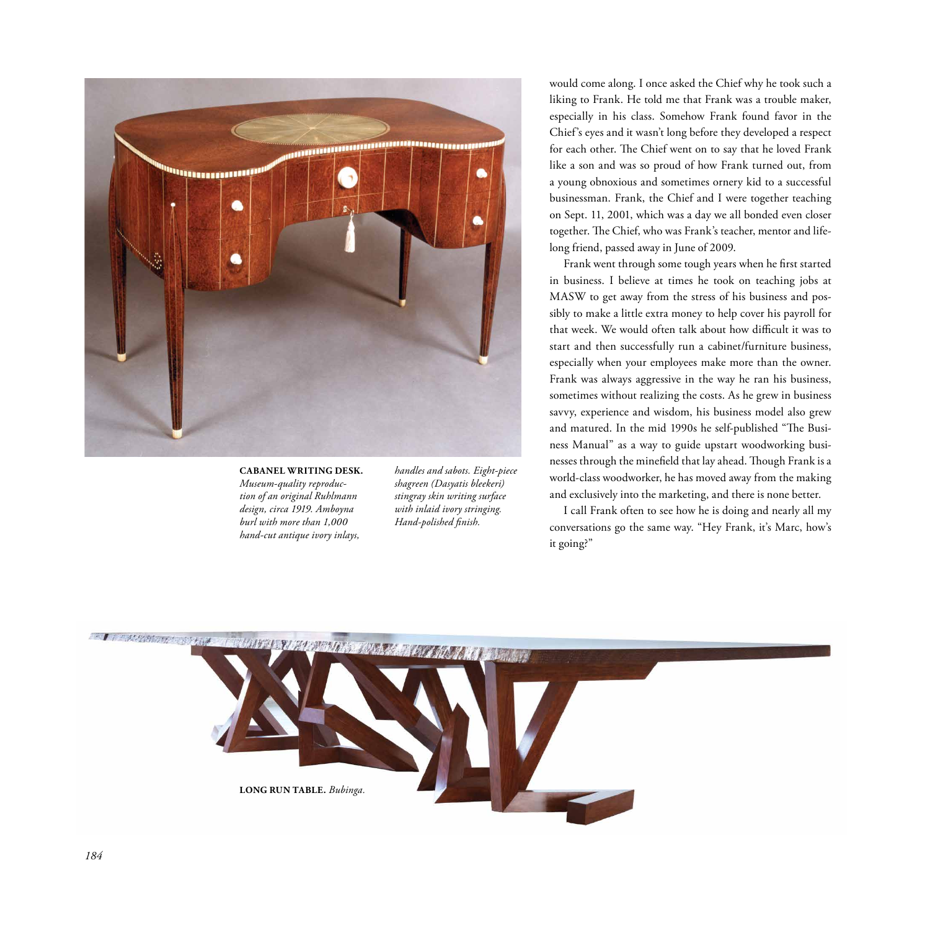

#### **CABANEL WRITING DESK.** *Museum-quality reproduction of an original Ruhlmann design, circa 1919. Amboyna burl with more than 1,000 hand-cut antique ivory inlays,*

*handles and sabots. Eight-piece shagreen (Dasyatis bleekeri) stingray skin writing surface with inlaid ivory stringing. Hand-polished finish.*

would come along. I once asked the Chief why he took such a liking to Frank. He told me that Frank was a trouble maker, especially in his class. Somehow Frank found favor in the Chief's eyes and it wasn't long before they developed a respect for each other. The Chief went on to say that he loved Frank like a son and was so proud of how Frank turned out, from a young obnoxious and sometimes ornery kid to a successful businessman. Frank, the Chief and I were together teaching on Sept. 11, 2001, which was a day we all bonded even closer together. The Chief, who was Frank's teacher, mentor and lifelong friend, passed away in June of 2009.

Frank went through some tough years when he first started in business. I believe at times he took on teaching jobs at MASW to get away from the stress of his business and possibly to make a little extra money to help cover his payroll for that week. We would often talk about how difficult it was to start and then successfully run a cabinet/furniture business, especially when your employees make more than the owner. Frank was always aggressive in the way he ran his business, sometimes without realizing the costs. As he grew in business savvy, experience and wisdom, his business model also grew and matured. In the mid 1990s he self-published "The Business Manual" as a way to guide upstart woodworking businesses through the minefield that lay ahead. Though Frank is a world-class woodworker, he has moved away from the making and exclusively into the marketing, and there is none better.

I call Frank often to see how he is doing and nearly all my conversations go the same way. "Hey Frank, it's Marc, how's it going?"